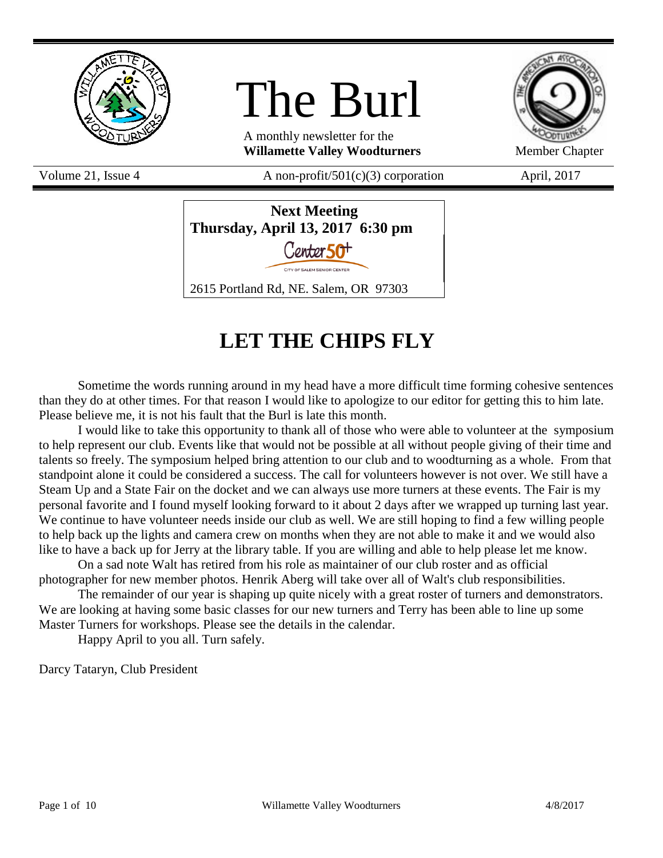

# The Burl

A monthly newsletter for the **Willamette Valley Woodturners** Member Chapter



Volume 21, Issue 4  $A$  non-profit/501(c)(3) corporation April, 2017



# **LET THE CHIPS FLY**

Sometime the words running around in my head have a more difficult time forming cohesive sentences than they do at other times. For that reason I would like to apologize to our editor for getting this to him late. Please believe me, it is not his fault that the Burl is late this month.

I would like to take this opportunity to thank all of those who were able to volunteer at the symposium to help represent our club. Events like that would not be possible at all without people giving of their time and talents so freely. The symposium helped bring attention to our club and to woodturning as a whole. From that standpoint alone it could be considered a success. The call for volunteers however is not over. We still have a Steam Up and a State Fair on the docket and we can always use more turners at these events. The Fair is my personal favorite and I found myself looking forward to it about 2 days after we wrapped up turning last year. We continue to have volunteer needs inside our club as well. We are still hoping to find a few willing people to help back up the lights and camera crew on months when they are not able to make it and we would also like to have a back up for Jerry at the library table. If you are willing and able to help please let me know.

On a sad note Walt has retired from his role as maintainer of our club roster and as official photographer for new member photos. Henrik Aberg will take over all of Walt's club responsibilities.

The remainder of our year is shaping up quite nicely with a great roster of turners and demonstrators. We are looking at having some basic classes for our new turners and Terry has been able to line up some Master Turners for workshops. Please see the details in the calendar.

Happy April to you all. Turn safely.

Darcy Tataryn, Club President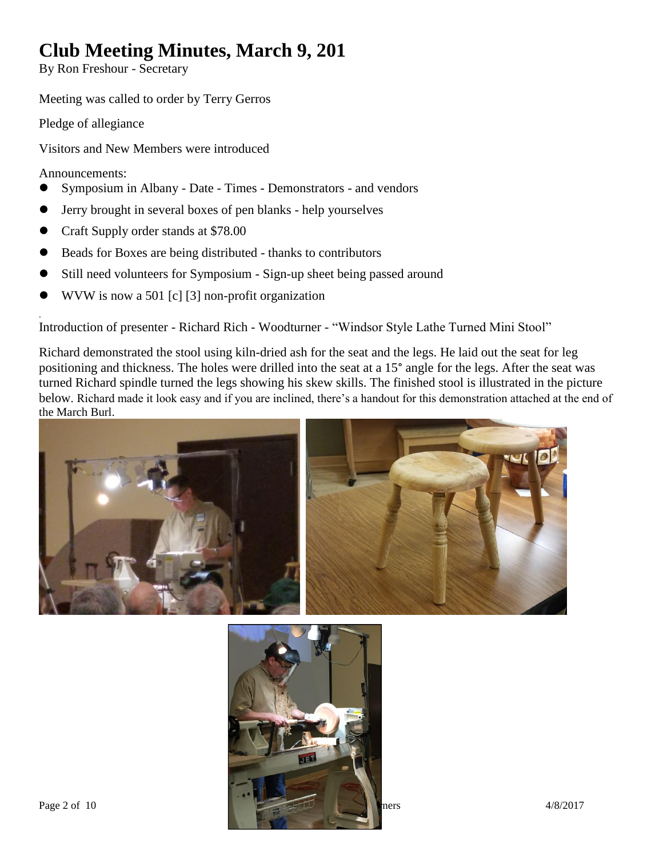# **Club Meeting Minutes, March 9, 201**

By Ron Freshour - Secretary

Meeting was called to order by Terry Gerros

Pledge of allegiance

Visitors and New Members were introduced

Announcements:

.

- Symposium in Albany Date Times Demonstrators and vendors
- Jerry brought in several boxes of pen blanks help yourselves
- Craft Supply order stands at \$78.00
- Beads for Boxes are being distributed thanks to contributors
- Still need volunteers for Symposium Sign-up sheet being passed around
- WVW is now a 501 [c] [3] non-profit organization

Introduction of presenter - Richard Rich - Woodturner - "Windsor Style Lathe Turned Mini Stool"

Richard demonstrated the stool using kiln-dried ash for the seat and the legs. He laid out the seat for leg positioning and thickness. The holes were drilled into the seat at a 15° angle for the legs. After the seat was turned Richard spindle turned the legs showing his skew skills. The finished stool is illustrated in the picture below. Richard made it look easy and if you are inclined, there's a handout for this demonstration attached at the end of the March Burl.



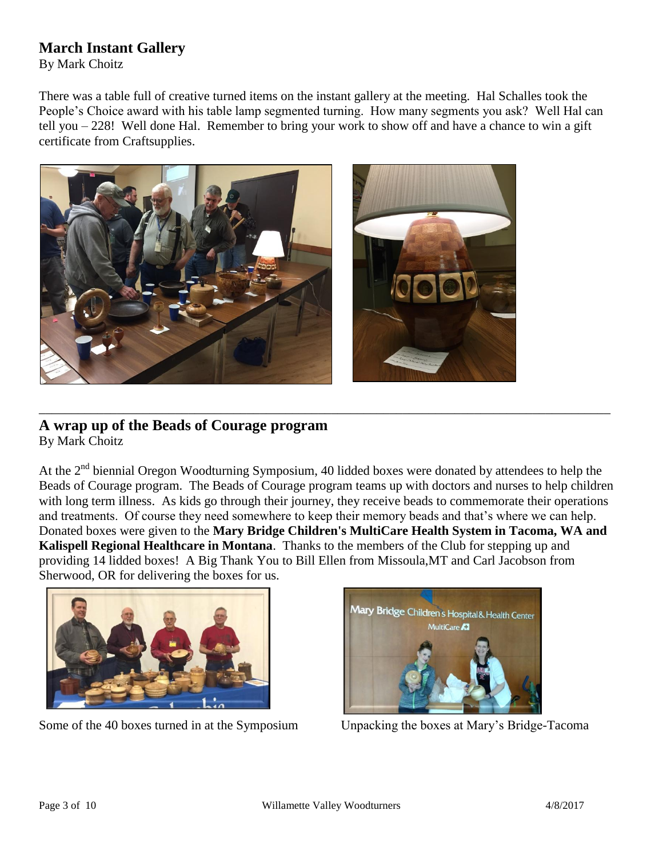### **March Instant Gallery**

By Mark Choitz

There was a table full of creative turned items on the instant gallery at the meeting. Hal Schalles took the People's Choice award with his table lamp segmented turning. How many segments you ask? Well Hal can tell you – 228! Well done Hal. Remember to bring your work to show off and have a chance to win a gift certificate from Craftsupplies.



### **A wrap up of the Beads of Courage program** By Mark Choitz

At the  $2<sup>nd</sup>$  biennial Oregon Woodturning Symposium, 40 lidded boxes were donated by attendees to help the Beads of Courage program. The Beads of Courage program teams up with doctors and nurses to help children with long term illness. As kids go through their journey, they receive beads to commemorate their operations and treatments. Of course they need somewhere to keep their memory beads and that's where we can help. Donated boxes were given to the **Mary Bridge Children's MultiCare Health System in Tacoma, WA and Kalispell Regional Healthcare in Montana**. Thanks to the members of the Club for stepping up and providing 14 lidded boxes! A Big Thank You to Bill Ellen from Missoula,MT and Carl Jacobson from Sherwood, OR for delivering the boxes for us.

\_\_\_\_\_\_\_\_\_\_\_\_\_\_\_\_\_\_\_\_\_\_\_\_\_\_\_\_\_\_\_\_\_\_\_\_\_\_\_\_\_\_\_\_\_\_\_\_\_\_\_\_\_\_\_\_\_\_\_\_\_\_\_\_\_\_\_\_\_\_\_\_\_\_\_\_\_\_\_\_\_\_\_\_\_\_\_\_



Some of the 40 boxes turned in at the Symposium Unpacking the boxes at Mary's Bridge-Tacoma

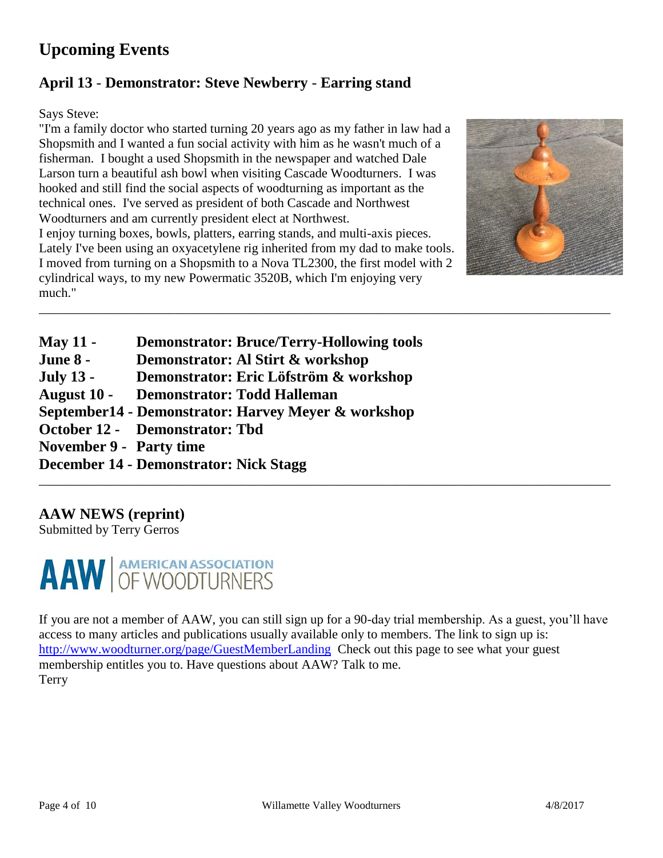## **Upcoming Events**

### **April 13** - **Demonstrator: Steve Newberry** - **Earring stand**

Says Steve:

"I'm a family doctor who started turning 20 years ago as my father in law had a Shopsmith and I wanted a fun social activity with him as he wasn't much of a fisherman. I bought a used Shopsmith in the newspaper and watched Dale Larson turn a beautiful ash bowl when visiting Cascade Woodturners. I was hooked and still find the social aspects of woodturning as important as the technical ones. I've served as president of both Cascade and Northwest Woodturners and am currently president elect at Northwest. I enjoy turning boxes, bowls, platters, earring stands, and multi-axis pieces. Lately I've been using an oxyacetylene rig inherited from my dad to make tools. I moved from turning on a Shopsmith to a Nova TL2300, the first model with 2 cylindrical ways, to my new Powermatic 3520B, which I'm enjoying very much."



**May 11 - Demonstrator: Bruce/Terry-Hollowing tools June 8 - Demonstrator: Al Stirt & workshop July 13 - Demonstrator: Eric Löfström & workshop August 10 - Demonstrator: Todd Halleman September14 - Demonstrator: Harvey Meyer & workshop October 12 - Demonstrator: Tbd November 9 - Party time December 14 - Demonstrator: Nick Stagg** \_\_\_\_\_\_\_\_\_\_\_\_\_\_\_\_\_\_\_\_\_\_\_\_\_\_\_\_\_\_\_\_\_\_\_\_\_\_\_\_\_\_\_\_\_\_\_\_\_\_\_\_\_\_\_\_\_\_\_\_\_\_\_\_\_\_\_\_\_\_\_\_\_\_\_\_\_\_\_\_\_\_\_\_\_\_\_\_

### **AAW NEWS (reprint)**

Submitted by Terry Gerros



If you are not a member of AAW, you can still sign up for a 90-day trial membership. As a guest, you'll have access to many articles and publications usually available only to members. The link to sign up is: <http://www.woodturner.org/page/GuestMemberLanding>Check out this page to see what your guest membership entitles you to. Have questions about AAW? Talk to me. **Terry** 

\_\_\_\_\_\_\_\_\_\_\_\_\_\_\_\_\_\_\_\_\_\_\_\_\_\_\_\_\_\_\_\_\_\_\_\_\_\_\_\_\_\_\_\_\_\_\_\_\_\_\_\_\_\_\_\_\_\_\_\_\_\_\_\_\_\_\_\_\_\_\_\_\_\_\_\_\_\_\_\_\_\_\_\_\_\_\_\_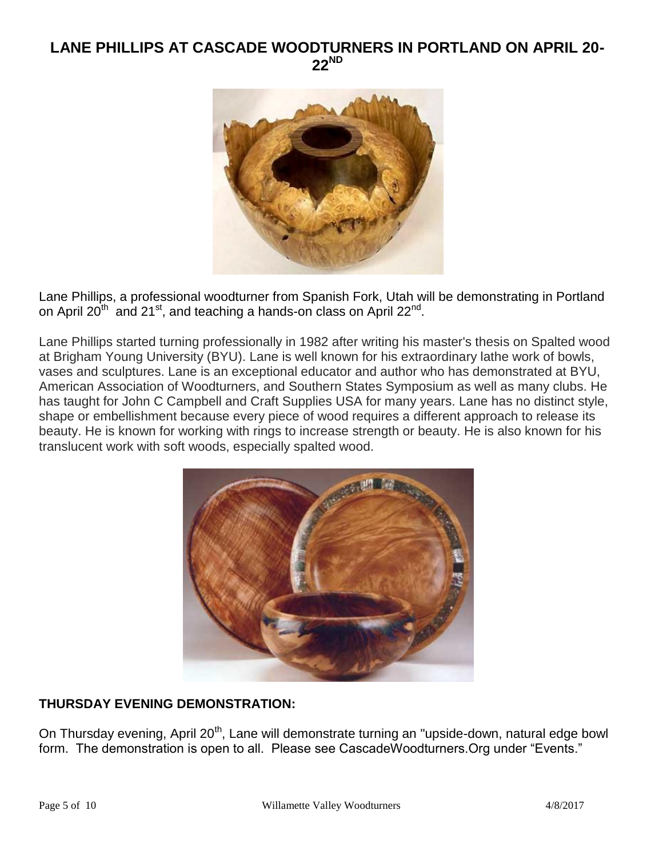### **LANE PHILLIPS AT CASCADE WOODTURNERS IN PORTLAND ON APRIL 20- 22ND**



Lane Phillips, a professional woodturner from Spanish Fork, Utah will be demonstrating in Portland on April 20<sup>th</sup> and 21<sup>st</sup>, and teaching a hands-on class on April 22<sup>nd</sup>.

Lane Phillips started turning professionally in 1982 after writing his master's thesis on Spalted wood at Brigham Young University (BYU). Lane is well known for his extraordinary lathe work of bowls, vases and sculptures. Lane is an exceptional educator and author who has demonstrated at BYU, American Association of Woodturners, and Southern States Symposium as well as many clubs. He has taught for John C Campbell and Craft Supplies USA for many years. Lane has no distinct style, shape or embellishment because every piece of wood requires a different approach to release its beauty. He is known for working with rings to increase strength or beauty. He is also known for his translucent work with soft woods, especially spalted wood.



### **THURSDAY EVENING DEMONSTRATION:**

On Thursday evening, April 20<sup>th</sup>, Lane will demonstrate turning an "upside-down, natural edge bowl form. The demonstration is open to all. Please see CascadeWoodturners.Org under "Events."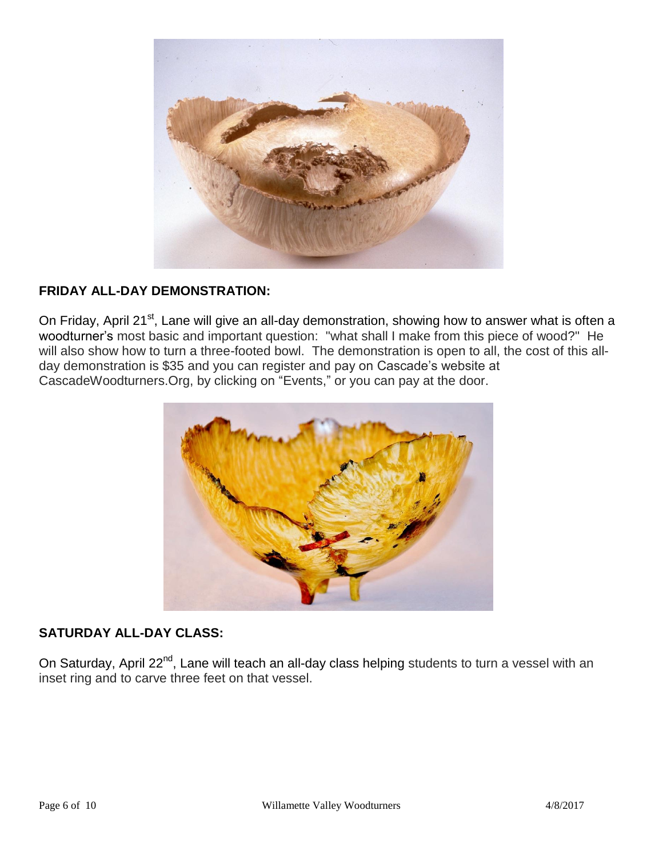

### **FRIDAY ALL-DAY DEMONSTRATION:**

On Friday, April 21<sup>st</sup>, Lane will give an all-day demonstration, showing how to answer what is often a woodturner's most basic and important question: "what shall I make from this piece of wood?" He will also show how to turn a three-footed bowl. The demonstration is open to all, the cost of this allday demonstration is \$35 and you can register and pay on Cascade's website at CascadeWoodturners.Org, by clicking on "Events," or you can pay at the door.



### **SATURDAY ALL-DAY CLASS:**

On Saturday, April 22<sup>nd</sup>, Lane will teach an all-day class helping students to turn a vessel with an inset ring and to carve three feet on that vessel.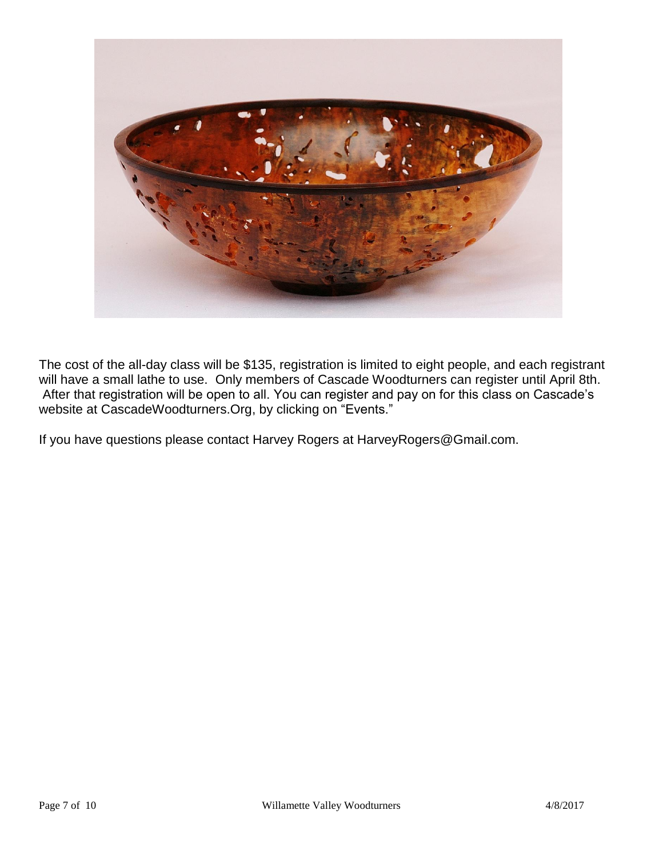

The cost of the all-day class will be \$135, registration is limited to eight people, and each registrant will have a small lathe to use. Only members of Cascade Woodturners can register until April 8th. After that registration will be open to all. You can register and pay on for this class on Cascade's website at CascadeWoodturners.Org, by clicking on "Events."

If you have questions please contact Harvey Rogers at HarveyRogers@Gmail.com.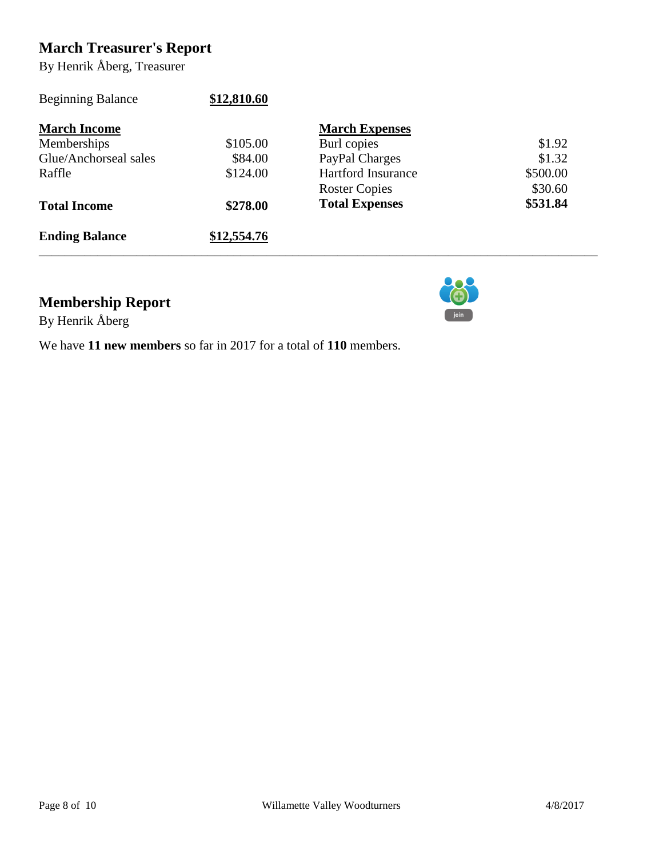### **March Treasurer's Report**

By Henrik Åberg, Treasurer

| <b>Beginning Balance</b> | \$12,810.60 |                           |          |
|--------------------------|-------------|---------------------------|----------|
| <b>March Income</b>      |             | <b>March Expenses</b>     |          |
| Memberships              | \$105.00    | Burl copies               | \$1.92   |
| Glue/Anchorseal sales    | \$84.00     | PayPal Charges            | \$1.32   |
| Raffle                   | \$124.00    | <b>Hartford Insurance</b> | \$500.00 |
|                          |             | <b>Roster Copies</b>      | \$30.60  |
| <b>Total Income</b>      | \$278.00    | <b>Total Expenses</b>     | \$531.84 |
| <b>Ending Balance</b>    | \$12,554.76 |                           |          |

join

### **Membership Report**

By Henrik Åberg

We have **11 new members** so far in 2017 for a total of **110** members.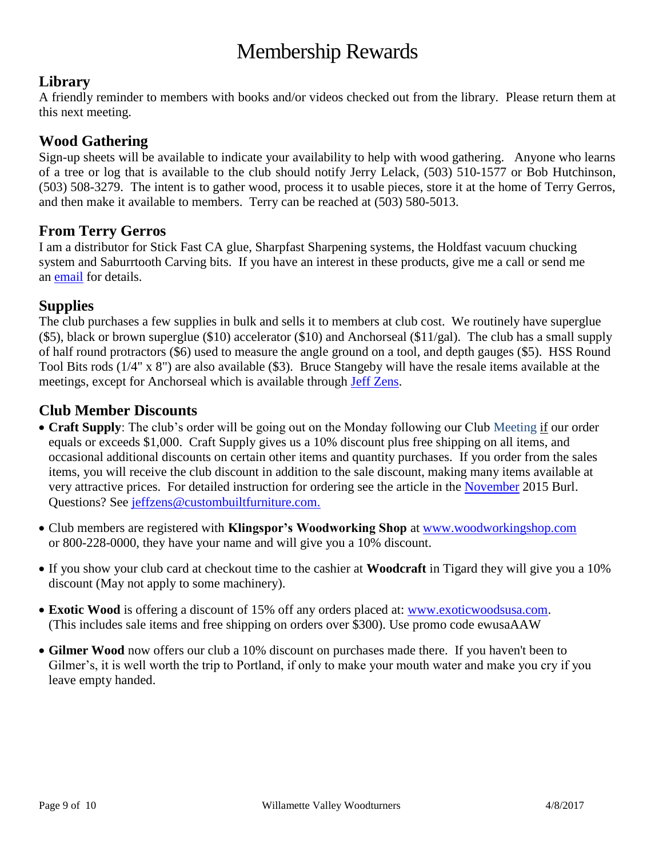# Membership Rewards

### **Library**

A friendly reminder to members with books and/or videos checked out from the library. Please return them at this next meeting.

### **Wood Gathering**

Sign-up sheets will be available to indicate your availability to help with wood gathering. Anyone who learns of a tree or log that is available to the club should notify Jerry Lelack, (503) 510-1577 or Bob Hutchinson, (503) 508-3279. The intent is to gather wood, process it to usable pieces, store it at the home of Terry Gerros, and then make it available to members. Terry can be reached at (503) 580-5013.

### **From Terry Gerros**

I am a distributor for Stick Fast CA glue, Sharpfast Sharpening systems, the Holdfast vacuum chucking system and Saburrtooth Carving bits. If you have an interest in these products, give me a call or send me an [email](mailto:gerrost@yahoo.com) for details.

### **Supplies**

The club purchases a few supplies in bulk and sells it to members at club cost. We routinely have superglue (\$5), black or brown superglue (\$10) accelerator (\$10) and Anchorseal (\$11/gal). The club has a small supply of half round protractors (\$6) used to measure the angle ground on a tool, and depth gauges (\$5). HSS Round Tool Bits rods (1/4" x 8") are also available (\$3). Bruce Stangeby will have the resale items available at the meetings, except for Anchorseal which is available through [Jeff Zens.](mailto:jszens@custombuiltfurniture.com)

### **Club Member Discounts**

- **Craft Supply**: The club's order will be going out on the Monday following our Club Meeting if our order equals or exceeds \$1,000. Craft Supply gives us a 10% discount plus free shipping on all items, and occasional additional discounts on certain other items and quantity purchases. If you order from the sales items, you will receive the club discount in addition to the sale discount, making many items available at very attractive prices. For detailed instruction for ordering see the article in the [November](http://www.willamettevalleywoodturners.com/newsletters/2015_11_WVW_Newsletter.pdf) 2015 Burl. Questions? See [jeffzens@custombuiltfurniture.com.](mailto:jeffzens@custombuiltfurniture.com.)
- Club members are registered with **Klingspor's Woodworking Shop** at [www.woodworkingshop.com](http://www.woodworkingshop.com/)  or 800-228-0000, they have your name and will give you a 10% discount.
- If you show your club card at checkout time to the cashier at **Woodcraft** in Tigard they will give you a 10% discount (May not apply to some machinery).
- **Exotic Wood** is offering a discount of 15% off any orders placed at: [www.exoticwoodsusa.com.](http://www.exoticwoodsusa.com/) (This includes sale items and free shipping on orders over \$300). Use promo code ewusaAAW
- **Gilmer Wood** now offers our club a 10% discount on purchases made there. If you haven't been to Gilmer's, it is well worth the trip to Portland, if only to make your mouth water and make you cry if you leave empty handed.